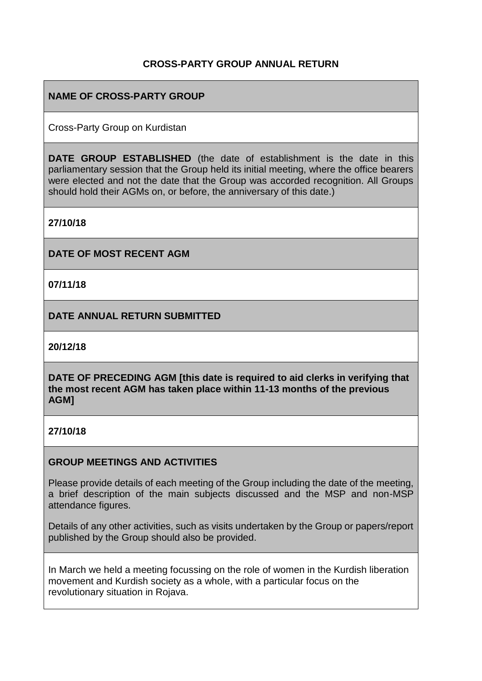# **CROSS-PARTY GROUP ANNUAL RETURN**

# **NAME OF CROSS-PARTY GROUP**

Cross-Party Group on Kurdistan

**DATE GROUP ESTABLISHED** (the date of establishment is the date in this parliamentary session that the Group held its initial meeting, where the office bearers were elected and not the date that the Group was accorded recognition. All Groups should hold their AGMs on, or before, the anniversary of this date.)

**27/10/18**

**DATE OF MOST RECENT AGM**

**07/11/18**

**DATE ANNUAL RETURN SUBMITTED**

**20/12/18**

**DATE OF PRECEDING AGM [this date is required to aid clerks in verifying that the most recent AGM has taken place within 11-13 months of the previous AGM]**

### **27/10/18**

### **GROUP MEETINGS AND ACTIVITIES**

Please provide details of each meeting of the Group including the date of the meeting, a brief description of the main subjects discussed and the MSP and non-MSP attendance figures.

Details of any other activities, such as visits undertaken by the Group or papers/report published by the Group should also be provided.

In March we held a meeting focussing on the role of women in the Kurdish liberation movement and Kurdish society as a whole, with a particular focus on the revolutionary situation in Rojava.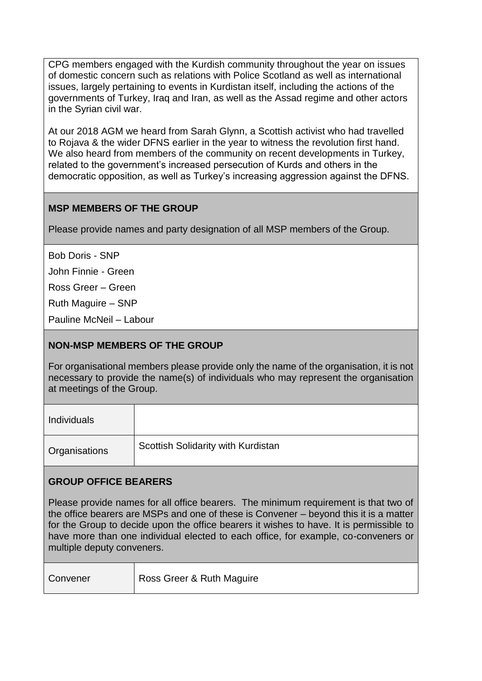CPG members engaged with the Kurdish community throughout the year on issues of domestic concern such as relations with Police Scotland as well as international issues, largely pertaining to events in Kurdistan itself, including the actions of the governments of Turkey, Iraq and Iran, as well as the Assad regime and other actors in the Syrian civil war.

At our 2018 AGM we heard from Sarah Glynn, a Scottish activist who had travelled to Rojava & the wider DFNS earlier in the year to witness the revolution first hand. We also heard from members of the community on recent developments in Turkey, related to the government's increased persecution of Kurds and others in the democratic opposition, as well as Turkey's increasing aggression against the DFNS.

# **MSP MEMBERS OF THE GROUP**

Please provide names and party designation of all MSP members of the Group.

Bob Doris - SNP

John Finnie - Green

Ross Greer – Green

Ruth Maguire – SNP

Pauline McNeil – Labour

### **NON-MSP MEMBERS OF THE GROUP**

For organisational members please provide only the name of the organisation, it is not necessary to provide the name(s) of individuals who may represent the organisation at meetings of the Group.

| <b>Individuals</b> |                                    |
|--------------------|------------------------------------|
| Organisations      | Scottish Solidarity with Kurdistan |

### **GROUP OFFICE BEARERS**

Please provide names for all office bearers. The minimum requirement is that two of the office bearers are MSPs and one of these is Convener – beyond this it is a matter for the Group to decide upon the office bearers it wishes to have. It is permissible to have more than one individual elected to each office, for example, co-conveners or multiple deputy conveners.

| Convener | Ross Greer & Ruth Maguire |
|----------|---------------------------|
|          |                           |